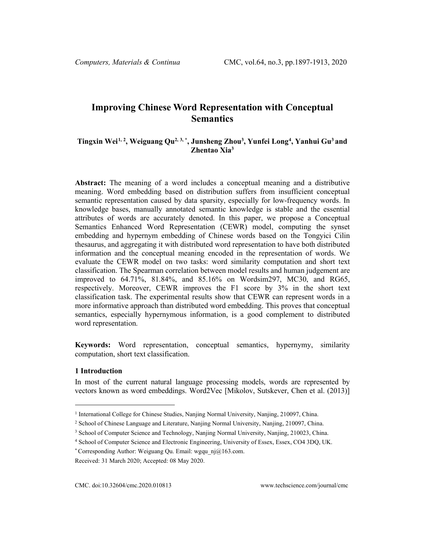# **Improving Chinese Word Representation with Conceptual Semantics**

## **Tingxin Wei[1,](#page-0-0) [2](#page-0-1) , Weiguang Qu2, [3,](#page-0-2) \* , Junsheng Zhou3 , Yunfei Long[4](#page-0-3) , Yanhui Gu3 and Zhentao Xia3**

**Abstract:** The meaning of a word includes a conceptual meaning and a distributive meaning. Word embedding based on distribution suffers from insufficient conceptual semantic representation caused by data sparsity, especially for low-frequency words. In knowledge bases, manually annotated semantic knowledge is stable and the essential attributes of words are accurately denoted. In this paper, we propose a Conceptual Semantics Enhanced Word Representation (CEWR) model, computing the synset embedding and hypernym embedding of Chinese words based on the Tongyici Cilin thesaurus, and aggregating it with distributed word representation to have both distributed information and the conceptual meaning encoded in the representation of words. We evaluate the CEWR model on two tasks: word similarity computation and short text classification. The Spearman correlation between model results and human judgement are improved to 64.71%, 81.84%, and 85.16% on Wordsim297, MC30, and RG65, respectively. Moreover, CEWR improves the F1 score by 3% in the short text classification task. The experimental results show that CEWR can represent words in a more informative approach than distributed word embedding. This proves that conceptual semantics, especially hypernymous information, is a good complement to distributed word representation.

**Keywords:** Word representation, conceptual semantics, hypernymy, similarity computation, short text classification.

## **1 Introduction**

In most of the current natural language processing models, words are represented by vectors known as word embeddings. Word2Vec [Mikolov, Sutskever, Chen et al. (2013)]

<span id="page-0-0"></span><sup>1</sup> International College for Chinese Studies, Nanjing Normal University, Nanjing, 210097, China.

<span id="page-0-1"></span><sup>2</sup> School of Chinese Language and Literature, Nanjing Normal University, Nanjing, 210097, China.

<span id="page-0-2"></span><sup>3</sup> School of Computer Science and Technology, Nanjing Normal University, Nanjing, 210023, China.

<span id="page-0-3"></span><sup>4</sup> School of Computer Science and Electronic Engineering, University of Essex, Essex, CO4 3DQ, UK.

<sup>\*</sup> Corresponding Author: Weiguang Qu. Email: wgqu\_nj $@163$ .com.

Received: 31 March 2020; Accepted: 08 May 2020.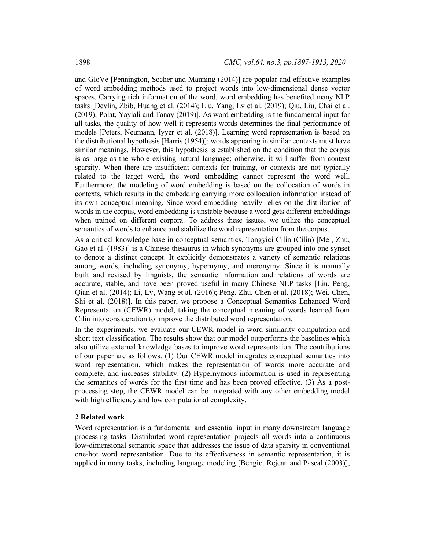and GloVe [Pennington, Socher and Manning (2014)] are popular and effective examples of word embedding methods used to project words into low-dimensional dense vector spaces. Carrying rich information of the word, word embedding has benefited many NLP tasks [Devlin, Zbib, Huang et al. (2014); Liu, Yang, Lv et al. (2019); Qiu, Liu, Chai et al. (2019); Polat, Yaylali and Tanay (2019)]. As word embedding is the fundamental input for all tasks, the quality of how well it represents words determines the final performance of models [Peters, Neumann, Iyyer et al. (2018)]. Learning word representation is based on the distributional hypothesis [Harris (1954)]: words appearing in similar contexts must have similar meanings. However, this hypothesis is established on the condition that the corpus is as large as the whole existing natural language; otherwise, it will suffer from context sparsity. When there are insufficient contexts for training, or contexts are not typically related to the target word, the word embedding cannot represent the word well. Furthermore, the modeling of word embedding is based on the collocation of words in contexts, which results in the embedding carrying more collocation information instead of its own conceptual meaning. Since word embedding heavily relies on the distribution of words in the corpus, word embedding is unstable because a word gets different embeddings when trained on different corpora. To address these issues, we utilize the conceptual semantics of words to enhance and stabilize the word representation from the corpus.

As a critical knowledge base in conceptual semantics, Tongyici Cilin (Cilin) [Mei, Zhu, Gao et al. (1983)] is a Chinese thesaurus in which synonyms are grouped into one synset to denote a distinct concept. It explicitly demonstrates a variety of semantic relations among words, including synonymy, hypernymy, and meronymy. Since it is manually built and revised by linguists, the semantic information and relations of words are accurate, stable, and have been proved useful in many Chinese NLP tasks [Liu, Peng, Qian et al. (2014); Li, Lv, Wang et al. (2016); Peng, Zhu, Chen et al. (2018); Wei, Chen, Shi et al. (2018)]. In this paper, we propose a Conceptual Semantics Enhanced Word Representation (CEWR) model, taking the conceptual meaning of words learned from Cilin into consideration to improve the distributed word representation.

In the experiments, we evaluate our CEWR model in word similarity computation and short text classification. The results show that our model outperforms the baselines which also utilize external knowledge bases to improve word representation. The contributions of our paper are as follows. (1) Our CEWR model integrates conceptual semantics into word representation, which makes the representation of words more accurate and complete, and increases stability. (2) Hypernymous information is used in representing the semantics of words for the first time and has been proved effective. (3) As a postprocessing step, the CEWR model can be integrated with any other embedding model with high efficiency and low computational complexity.

## **2 Related work**

Word representation is a fundamental and essential input in many downstream language processing tasks. Distributed word representation projects all words into a continuous low-dimensional semantic space that addresses the issue of data sparsity in conventional one-hot word representation. Due to its effectiveness in semantic representation, it is applied in many tasks, including language modeling [Bengio, Rejean and Pascal (2003)],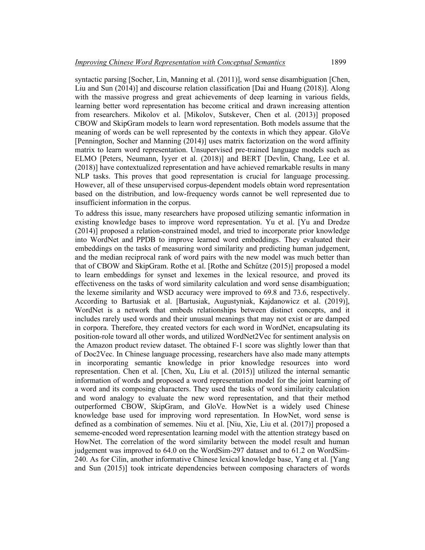syntactic parsing [Socher, Lin, Manning et al. (2011)], word sense disambiguation [Chen, Liu and Sun (2014)] and discourse relation classification [Dai and Huang (2018)]. Along with the massive progress and great achievements of deep learning in various fields, learning better word representation has become critical and drawn increasing attention from researchers. Mikolov et al. [Mikolov, Sutskever, Chen et al. (2013)] proposed CBOW and SkipGram models to learn word representation. Both models assume that the meaning of words can be well represented by the contexts in which they appear. GloVe [Pennington, Socher and Manning (2014)] uses matrix factorization on the word affinity matrix to learn word representation. Unsupervised pre-trained language models such as ELMO [Peters, Neumann, Iyyer et al. (2018)] and BERT [Devlin, Chang, Lee et al. (2018)] have contextualized representation and have achieved remarkable results in many NLP tasks. This proves that good representation is crucial for language processing. However, all of these unsupervised corpus-dependent models obtain word representation based on the distribution, and low-frequency words cannot be well represented due to insufficient information in the corpus.

To address this issue, many researchers have proposed utilizing semantic information in existing knowledge bases to improve word representation. Yu et al. [Yu and Dredze (2014)] proposed a relation-constrained model, and tried to incorporate prior knowledge into WordNet and PPDB to improve learned word embeddings. They evaluated their embeddings on the tasks of measuring word similarity and predicting human judgement, and the median reciprocal rank of word pairs with the new model was much better than that of CBOW and SkipGram. Rothe et al. [Rothe and Schűtze (2015)] proposed a model to learn embeddings for synset and lexemes in the lexical resource, and proved its effectiveness on the tasks of word similarity calculation and word sense disambiguation; the lexeme similarity and WSD accuracy were improved to 69.8 and 73.6, respectively. According to Bartusiak et al. [Bartusiak, Augustyniak, Kajdanowicz et al. (2019)], WordNet is a network that embeds relationships between distinct concepts, and it includes rarely used words and their unusual meanings that may not exist or are damped in corpora. Therefore, they created vectors for each word in WordNet, encapsulating its position-role toward all other words, and utilized WordNet2Vec for sentiment analysis on the Amazon product review dataset. The obtained F-1 score was slightly lower than that of Doc2Vec. In Chinese language processing, researchers have also made many attempts in incorporating semantic knowledge in prior knowledge resources into word representation. Chen et al. [Chen, Xu, Liu et al. (2015)] utilized the internal semantic information of words and proposed a word representation model for the joint learning of a word and its composing characters. They used the tasks of word similarity calculation and word analogy to evaluate the new word representation, and that their method outperformed CBOW, SkipGram, and GloVe. HowNet is a widely used Chinese knowledge base used for improving word representation. In HowNet, word sense is defined as a combination of sememes. Niu et al. [Niu, Xie, Liu et al. (2017)] proposed a sememe-encoded word representation learning model with the attention strategy based on HowNet. The correlation of the word similarity between the model result and human judgement was improved to 64.0 on the WordSim-297 dataset and to 61.2 on WordSim-240. As for Cilin, another informative Chinese lexical knowledge base, Yang et al. [Yang and Sun (2015)] took intricate dependencies between composing characters of words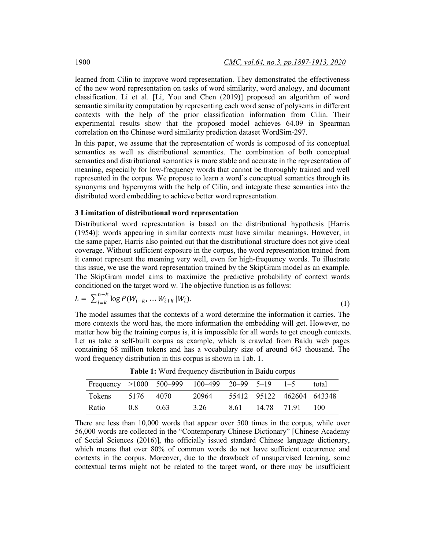learned from Cilin to improve word representation. They demonstrated the effectiveness of the new word representation on tasks of word similarity, word analogy, and document classification. Li et al. [Li, You and Chen (2019)] proposed an algorithm of word semantic similarity computation by representing each word sense of polysems in different contexts with the help of the prior classification information from Cilin. Their experimental results show that the proposed model achieves 64.09 in Spearman correlation on the Chinese word similarity prediction dataset WordSim-297.

In this paper, we assume that the representation of words is composed of its conceptual semantics as well as distributional semantics. The combination of both conceptual semantics and distributional semantics is more stable and accurate in the representation of meaning, especially for low-frequency words that cannot be thoroughly trained and well represented in the corpus. We propose to learn a word's conceptual semantics through its synonyms and hypernyms with the help of Cilin, and integrate these semantics into the distributed word embedding to achieve better word representation.

#### **3 Limitation of distributional word representation**

Distributional word representation is based on the distributional hypothesis [Harris (1954)]: words appearing in similar contexts must have similar meanings. However, in the same paper, Harris also pointed out that the distributional structure does not give ideal coverage. Without sufficient exposure in the corpus, the word representation trained from it cannot represent the meaning very well, even for high-frequency words. To illustrate this issue, we use the word representation trained by the SkipGram model as an example. The SkipGram model aims to maximize the predictive probability of context words conditioned on the target word w. The objective function is as follows:

$$
L = \sum_{i=k}^{n-k} \log P(W_{i-k}, \dots W_{i+k} | W_i).
$$
 (1)

The model assumes that the contexts of a word determine the information it carries. The more contexts the word has, the more information the embedding will get. However, no matter how big the training corpus is, it is impossible for all words to get enough contexts. Let us take a self-built corpus as example, which is crawled from Baidu web pages containing 68 million tokens and has a vocabulary size of around 643 thousand. The word frequency distribution in this corpus is shown in Tab. 1.

| Frequency $>1000$ 500-999 100-499 20-99 5-19 |      |      |       |      |             | $1 - 5$                   | total |
|----------------------------------------------|------|------|-------|------|-------------|---------------------------|-------|
| <b>Tokens</b>                                | 5176 | 4070 | 20964 |      |             | 55412 95122 462604 643348 |       |
| Ratio                                        | 0.8  | 0.63 | 3.26  | 8.61 | 14.78 71.91 |                           | 100   |

**Table 1:** Word frequency distribution in Baidu corpus

There are less than 10,000 words that appear over 500 times in the corpus, while over 56,000 words are collected in the "Contemporary Chinese Dictionary" [Chinese Academy of Social Sciences (2016)], the officially issued standard Chinese language dictionary, which means that over 80% of common words do not have sufficient occurrence and contexts in the corpus. Moreover, due to the drawback of unsupervised learning, some contextual terms might not be related to the target word, or there may be insufficient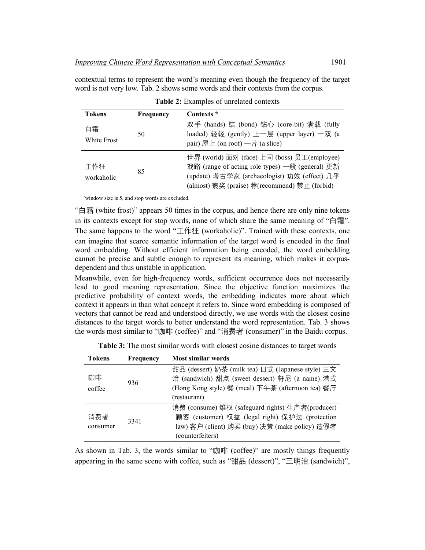contextual terms to represent the word's meaning even though the frequency of the target word is not very low. Tab. 2 shows some words and their contexts from the corpus.

| <b>Tokens</b>     | Frequency | Contexts *                                                                                                                                                                                      |
|-------------------|-----------|-------------------------------------------------------------------------------------------------------------------------------------------------------------------------------------------------|
| 白霜<br>White Frost | 50        | 双手 (hands) 结 (bond) 钻心 (core-bit) 满载 (fully<br>loaded) 轻轻 (gently) 上一层 (upper layer) 一双 (a<br>pair) 屋上 (on roof) $-\nvdash$ (a slice)                                                           |
| 工作狂<br>workaholic | 85        | 世界 (world) 面对 (face) 上司 (boss) 员工(employee)<br>戏路 (range of acting role types) 一般 (general) 更新<br>(update) 考古学家 (archaeologist) 功效 (effect) 几乎<br>(almost) 褒奖 (praise) 荐(recommend) 禁止 (forbid) |

|  |  | Table 2: Examples of unrelated contexts |  |
|--|--|-----------------------------------------|--|
|--|--|-----------------------------------------|--|

\* window size is 5, and stop words are excluded.

"白霜 (white frost)" appears 50 times in the corpus, and hence there are only nine tokens in its contexts except for stop words, none of which share the same meaning of "白霜". The same happens to the word "工作狂 (workaholic)". Trained with these contexts, one can imagine that scarce semantic information of the target word is encoded in the final word embedding. Without efficient information being encoded, the word embedding cannot be precise and subtle enough to represent its meaning, which makes it corpusdependent and thus unstable in application.

Meanwhile, even for high-frequency words, sufficient occurrence does not necessarily lead to good meaning representation. Since the objective function maximizes the predictive probability of context words, the embedding indicates more about which context it appears in than what concept it refers to. Since word embedding is composed of vectors that cannot be read and understood directly, we use words with the closest cosine distances to the target words to better understand the word representation. Tab. 3 shows the words most similar to "咖啡 (coffee)" and "消费者 (consumer)" in the Baidu corpus.

| <b>Tokens</b>   | Frequency | Most similar words                                                                                                                                                       |
|-----------------|-----------|--------------------------------------------------------------------------------------------------------------------------------------------------------------------------|
| 咖啡<br>coffee    | 936       | 甜品 (dessert) 奶茶 (milk tea) 日式 (Japanese style) 三文<br>治 (sandwich) 甜点 (sweet dessert) 轩尼 (a name) 港式<br>(Hong Kong style) 餐 (meal) 下午茶 (afternoon tea) 餐厅<br>(restaurant) |
| 消费者<br>consumer | 3341      | 消费 (consume) 维权 (safeguard rights) 生产者(producer)<br>顾客 (customer) 权益 (legal right) 保护法 (protection<br>law) 客户 (client) 购买 (buy) 决策 (make policy) 造假者<br>(counterfeiters) |

| <b>Table 3:</b> The most similar words with closest cosine distances to target words |  |  |  |  |  |
|--------------------------------------------------------------------------------------|--|--|--|--|--|
|                                                                                      |  |  |  |  |  |

As shown in Tab. 3, the words similar to "咖啡 (coffee)" are mostly things frequently appearing in the same scene with coffee, such as "甜品 (dessert)", "三明治 (sandwich)",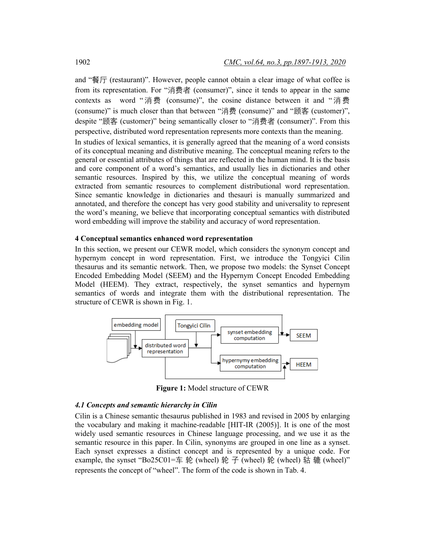and "餐厅 (restaurant)". However, people cannot obtain a clear image of what coffee is from its representation. For "消费者 (consumer)", since it tends to appear in the same contexts as word "消费 (consume)", the cosine distance between it and "消费 (consume)" is much closer than that between "消费 (consume)" and "顾客 (customer)", despite "顾客 (customer)" being semantically closer to "消费者 (consumer)". From this perspective, distributed word representation represents more contexts than the meaning.

In studies of lexical semantics, it is generally agreed that the meaning of a word consists of its conceptual meaning and distributive meaning. The conceptual meaning refers to the general or essential attributes of things that are reflected in the human mind. It is the basis and core component of a word's semantics, and usually lies in dictionaries and other semantic resources. Inspired by this, we utilize the conceptual meaning of words extracted from semantic resources to complement distributional word representation. Since semantic knowledge in dictionaries and thesauri is manually summarized and annotated, and therefore the concept has very good stability and universality to represent the word's meaning, we believe that incorporating conceptual semantics with distributed word embedding will improve the stability and accuracy of word representation.

## **4 Conceptual semantics enhanced word representation**

In this section, we present our CEWR model, which considers the synonym concept and hypernym concept in word representation. First, we introduce the Tongyici Cilin thesaurus and its semantic network. Then, we propose two models: the Synset Concept Encoded Embedding Model (SEEM) and the Hypernym Concept Encoded Embedding Model (HEEM). They extract, respectively, the synset semantics and hypernym semantics of words and integrate them with the distributional representation. The structure of CEWR is shown in Fig. 1.



**Figure 1:** Model structure of CEWR

## *4.1 Concepts and semantic hierarchy in Cilin*

Cilin is a Chinese semantic thesaurus published in 1983 and revised in 2005 by enlarging the vocabulary and making it machine-readable [HIT-IR (2005)]. It is one of the most widely used semantic resources in Chinese language processing, and we use it as the semantic resource in this paper. In Cilin, synonyms are grouped in one line as a synset. Each synset expresses a distinct concept and is represented by a unique code. For example, the synset "Bo25C01=车 轮 (wheel) 轮 子 (wheel) 轮 (wheel) 轱 辘 (wheel)" represents the concept of "wheel". The form of the code is shown in Tab. 4.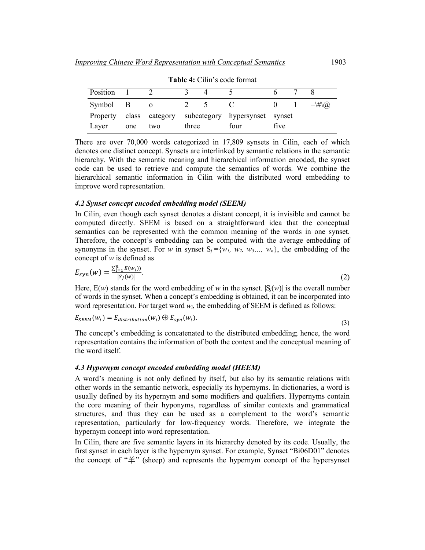| TWO IS CHILL O COME TO HUMM |     |          |       |  |                                               |      |  |            |
|-----------------------------|-----|----------|-------|--|-----------------------------------------------|------|--|------------|
| Position                    |     |          |       |  |                                               |      |  |            |
| Symbol B                    |     | $\Omega$ |       |  |                                               |      |  | $=\H_*(a)$ |
| Property                    |     |          |       |  | class category subcategory hypersynset synset |      |  |            |
| Layer                       | one | two      | three |  | four                                          | five |  |            |

**Table 4:** Cilin's code format

There are over 70,000 words categorized in 17,809 synsets in Cilin, each of which denotes one distinct concept. Synsets are interlinked by semantic relations in the semantic hierarchy. With the semantic meaning and hierarchical information encoded, the synset code can be used to retrieve and compute the semantics of words. We combine the hierarchical semantic information in Cilin with the distributed word embedding to

#### *4.2 Synset concept encoded embedding model (SEEM)*

improve word representation.

In Cilin, even though each synset denotes a distant concept, it is invisible and cannot be computed directly. SEEM is based on a straightforward idea that the conceptual semantics can be represented with the common meaning of the words in one synset. Therefore, the concept's embedding can be computed with the average embedding of synonyms in the synset. For *w* in synset  $S_i = \{w_1, w_2, w_3, \ldots, w_n\}$ , the embedding of the concept of *w* is defined as

$$
E_{syn}(w) = \frac{\sum_{i=1}^{n} E(w_i))}{|S_j(w)|}.
$$
\n(2)

 $|s_j(w)|$ <br>Here, E(*w*) stands for the word embedding of *w* in the synset.  $|S_j(w)|$  is the overall number of words in the synset. When a concept's embedding is obtained, it can be incorporated into word representation. For target word *wi*, the embedding of SEEM is defined as follows:

$$
E_{SEEM}(w_i) = E_{distribution}(w_i) \oplus E_{syn}(w_i).
$$
\n(3)

The concept's embedding is concatenated to the distributed embedding; hence, the word representation contains the information of both the context and the conceptual meaning of the word itself.

#### *4.3 Hypernym concept encoded embedding model (HEEM)*

A word's meaning is not only defined by itself, but also by its semantic relations with other words in the semantic network, especially its hypernyms. In dictionaries, a word is usually defined by its hypernym and some modifiers and qualifiers. Hypernyms contain the core meaning of their hyponyms, regardless of similar contexts and grammatical structures, and thus they can be used as a complement to the word's semantic representation, particularly for low-frequency words. Therefore, we integrate the hypernym concept into word representation.

In Cilin, there are five semantic layers in its hierarchy denoted by its code. Usually, the first synset in each layer is the hypernym synset. For example, Synset "Bi06D01" denotes the concept of " $\hat{\pm}$ " (sheep) and represents the hypernym concept of the hypersynset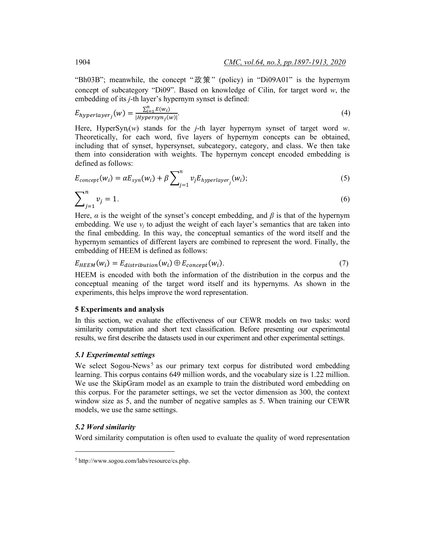"Bh03B"; meanwhile, the concept "政策" (policy) in "Di09A01" is the hypernym concept of subcategory "Di09". Based on knowledge of Cilin, for target word *w*, the embedding of its *j*-th layer's hypernym synset is defined:

$$
E_{hyperlayer_j}(w) = \frac{\sum_{i=1}^{n} E(w_i)}{|Hypersyn_j(w)|}.
$$
\n(4)

Here, HyperSyn*j*(*w*) stands for the *j*-th layer hypernym synset of target word *w*. Theoretically, for each word, five layers of hypernym concepts can be obtained, including that of synset, hypersynset, subcategory, category, and class. We then take them into consideration with weights. The hypernym concept encoded embedding is defined as follows:

$$
E_{concept}(w_i) = \alpha E_{syn}(w_i) + \beta \sum_{j=1}^{n} v_j E_{hyperlayer_j}(w_i);
$$
\n(5)

$$
\sum_{j=1}^{n} v_j = 1.
$$
 (6)

Here,  $\alpha$  is the weight of the synset's concept embedding, and  $\beta$  is that of the hypernym embedding. We use  $v_i$  to adjust the weight of each layer's semantics that are taken into the final embedding. In this way, the conceptual semantics of the word itself and the hypernym semantics of different layers are combined to represent the word. Finally, the embedding of HEEM is defined as follows:

$$
E_{HEEM}(w_i) = E_{distribution}(w_i) \oplus E_{concept}(w_i). \tag{7}
$$

HEEM is encoded with both the information of the distribution in the corpus and the conceptual meaning of the target word itself and its hypernyms. As shown in the experiments, this helps improve the word representation.

## **5 Experiments and analysis**

In this section, we evaluate the effectiveness of our CEWR models on two tasks: word similarity computation and short text classification. Before presenting our experimental results, we first describe the datasets used in our experiment and other experimental settings.

## *5.1 Experimental settings*

We select Sogou-News<sup>[5](#page-7-0)</sup> as our primary text corpus for distributed word embedding learning. This corpus contains 649 million words, and the vocabulary size is 1.22 million. We use the SkipGram model as an example to train the distributed word embedding on this corpus. For the parameter settings, we set the vector dimension as 300, the context window size as 5, and the number of negative samples as 5. When training our CEWR models, we use the same settings.

## *5.2 Word similarity*

Word similarity computation is often used to evaluate the quality of word representation

<span id="page-7-0"></span><sup>5</sup> http://www.sogou.com/labs/resource/cs.php.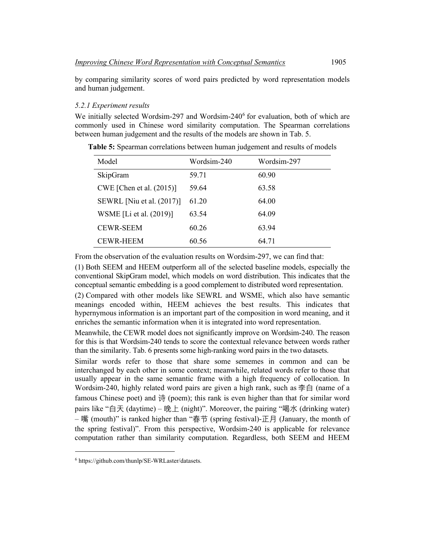by comparing similarity scores of word pairs predicted by word representation models and human judgement.

#### *5.2.1 Experiment results*

We initially selected Wordsim-297 and Wordsim-240 $<sup>6</sup>$  for evaluation, both of which are</sup> commonly used in Chinese word similarity computation. The Spearman correlations between human judgement and the results of the models are shown in Tab. 5.

| Model                       | Wordsim-240 | Wordsim-297 |
|-----------------------------|-------------|-------------|
| SkipGram                    | 59.71       | 60.90       |
| CWE [Chen et al. $(2015)$ ] | 59.64       | 63.58       |
| SEWRL [Niu et al. (2017)]   | 61.20       | 64.00       |
| WSME [Li et al. (2019)]     | 63.54       | 64.09       |
| <b>CEWR-SEEM</b>            | 60.26       | 63.94       |
| <b>CEWR-HEEM</b>            | 60.56       | 64.71       |

**Table 5:** Spearman correlations between human judgement and results of models

From the observation of the evaluation results on Wordsim-297, we can find that:

(1) Both SEEM and HEEM outperform all of the selected baseline models, especially the conventional SkipGram model, which models on word distribution. This indicates that the conceptual semantic embedding is a good complement to distributed word representation.

(2) Compared with other models like SEWRL and WSME, which also have semantic meanings encoded within, HEEM achieves the best results. This indicates that hypernymous information is an important part of the composition in word meaning, and it enriches the semantic information when it is integrated into word representation.

Meanwhile, the CEWR model does not significantly improve on Wordsim-240. The reason for this is that Wordsim-240 tends to score the contextual relevance between words rather than the similarity. Tab. 6 presents some high-ranking word pairs in the two datasets.

Similar words refer to those that share some sememes in common and can be interchanged by each other in some context; meanwhile, related words refer to those that usually appear in the same semantic frame with a high frequency of collocation. In Wordsim-240, highly related word pairs are given a high rank, such as  $\cong$ 白 (name of a famous Chinese poet) and  $\frac{4}{37}$  (poem); this rank is even higher than that for similar word pairs like "白天 (daytime) – 晚上 (night)". Moreover, the pairing "喝水 (drinking water) – 嘴 (mouth)" is ranked higher than "春节 (spring festival)-正月 (January, the month of the spring festival)". From this perspective, Wordsim-240 is applicable for relevance computation rather than similarity computation. Regardless, both SEEM and HEEM

<span id="page-8-0"></span><sup>6</sup> https://github.com/thunlp/SE-WRLaster/datasets.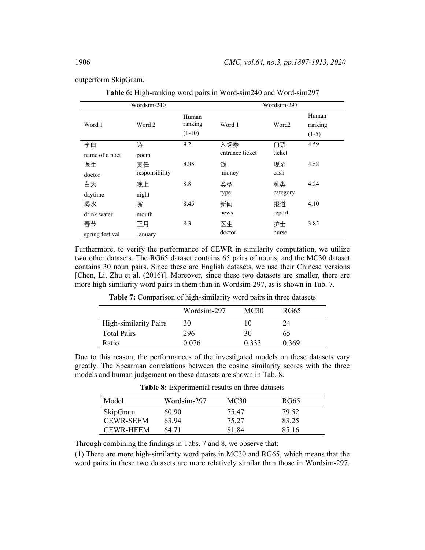outperform SkipGram.

**Table 6:** High-ranking word pairs in Word-sim240 and Word-sim297

|                 | Wordsim-240    |                              | Wordsim-297     |                   |                             |  |
|-----------------|----------------|------------------------------|-----------------|-------------------|-----------------------------|--|
| Word 1          | Word 2         | Human<br>ranking<br>$(1-10)$ | Word 1          | Word <sub>2</sub> | Human<br>ranking<br>$(1-5)$ |  |
| 李白              | 诗              | 9.2                          | 入场券             | 门票                | 4.59                        |  |
| name of a poet  | poem           |                              | entrance ticket | ticket            |                             |  |
| 医生              | 责任             | 8.85                         | 钱               | 现金                | 4.58                        |  |
| doctor          | responsibility |                              | money           | cash              |                             |  |
| 白天              | 晚上             | 8.8                          | 类型              | 种类                | 4.24                        |  |
| daytime         | night          |                              | type            | category          |                             |  |
| 喝水              | 嘴              | 8.45                         | 新闻              | 报道                | 4.10                        |  |
| drink water     | mouth          |                              | news            | report            |                             |  |
| 春节              | 正月             | 8.3                          | 医生              | 护士                | 3.85                        |  |
| spring festival | January        |                              | doctor          | nurse             |                             |  |

Furthermore, to verify the performance of CEWR in similarity computation, we utilize two other datasets. The RG65 dataset contains 65 pairs of nouns, and the MC30 dataset contains 30 noun pairs. Since these are English datasets, we use their Chinese versions [Chen, Li, Zhu et al. (2016)]. Moreover, since these two datasets are smaller, there are more high-similarity word pairs in them than in Wordsim-297, as is shown in Tab. 7.

|                              | Wordsim-297 | MC30  | RG65  |
|------------------------------|-------------|-------|-------|
| <b>High-similarity Pairs</b> | 30          | 10    | 24    |
| <b>Total Pairs</b>           | 296         | 30    | 65    |
| Ratio                        | 0.076       | 0.333 | 0.369 |

**Table 7:** Comparison of high-similarity word pairs in three datasets

Due to this reason, the performances of the investigated models on these datasets vary greatly. The Spearman correlations between the cosine similarity scores with the three models and human judgement on these datasets are shown in Tab. 8.

| Model            | Wordsim-297 | MC30  | RG65  |
|------------------|-------------|-------|-------|
| SkipGram         | 60.90       | 75.47 | 79.52 |
| <b>CEWR-SEEM</b> | 63.94       | 75 27 | 83 25 |
| <b>CEWR-HEEM</b> | 64.71       | 8184  | 85 16 |

**Table 8:** Experimental results on three datasets

Through combining the findings in Tabs. 7 and 8, we observe that:

(1) There are more high-similarity word pairs in MC30 and RG65, which means that the word pairs in these two datasets are more relatively similar than those in Wordsim-297.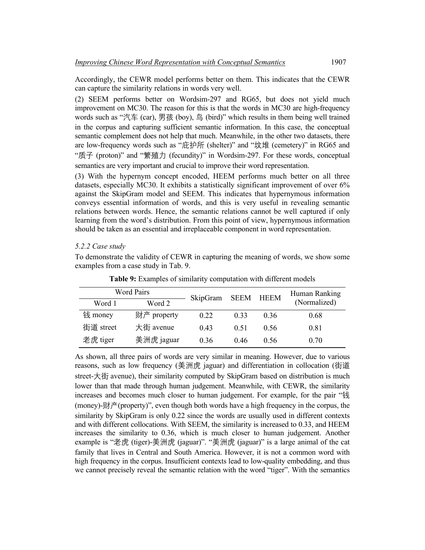Accordingly, the CEWR model performs better on them. This indicates that the CEWR can capture the similarity relations in words very well.

(2) SEEM performs better on Wordsim-297 and RG65, but does not yield much improvement on MC30. The reason for this is that the words in MC30 are high-frequency words such as "汽车 (car), 男孩 (boy), 鸟 (bird)" which results in them being well trained in the corpus and capturing sufficient semantic information. In this case, the conceptual semantic complement does not help that much. Meanwhile, in the other two datasets, there are low-frequency words such as "庇护所 (shelter)" and "坟堆 (cemetery)" in RG65 and "质子 (proton)" and "繁殖力 (fecundity)" in Wordsim-297. For these words, conceptual semantics are very important and crucial to improve their word representation.

(3) With the hypernym concept encoded, HEEM performs much better on all three datasets, especially MC30. It exhibits a statistically significant improvement of over 6% against the SkipGram model and SEEM. This indicates that hypernymous information conveys essential information of words, and this is very useful in revealing semantic relations between words. Hence, the semantic relations cannot be well captured if only learning from the word's distribution. From this point of view, hypernymous information should be taken as an essential and irreplaceable component in word representation.

## *5.2.2 Case study*

To demonstrate the validity of CEWR in capturing the meaning of words, we show some examples from a case study in Tab. 9.

| <b>Word Pairs</b><br>Word 2<br>Word 1 |             | SkipGram | SEEM | HEEM | Human Ranking<br>(Normalized) |
|---------------------------------------|-------------|----------|------|------|-------------------------------|
| 钱 money                               | 财产 property | 0.22     | 0.33 | 0.36 | 0.68                          |
| 街道 street                             | 大街 avenue   | 0.43     | 0.51 | 0.56 | 0.81                          |
| 老虎 tiger                              | 美洲虎 jaguar  | 0.36     | 0.46 | 0.56 | 0.70                          |

**Table 9:** Examples of similarity computation with different models

As shown, all three pairs of words are very similar in meaning. However, due to various reasons, such as low frequency (美洲虎 jaguar) and differentiation in collocation (街道 street-大街 avenue), their similarity computed by SkipGram based on distribution is much lower than that made through human judgement. Meanwhile, with CEWR, the similarity increases and becomes much closer to human judgement. For example, for the pair "钱 (money)- $\pi \to \infty$  (property)", even though both words have a high frequency in the corpus, the similarity by SkipGram is only 0.22 since the words are usually used in different contexts and with different collocations. With SEEM, the similarity is increased to 0.33, and HEEM increases the similarity to 0.36, which is much closer to human judgement. Another example is "老虎 (tiger)-美洲虎 (jaguar)". "美洲虎 (jaguar)" is a large animal of the cat family that lives in Central and South America. However, it is not a common word with high frequency in the corpus. Insufficient contexts lead to low-quality embedding, and thus we cannot precisely reveal the semantic relation with the word "tiger". With the semantics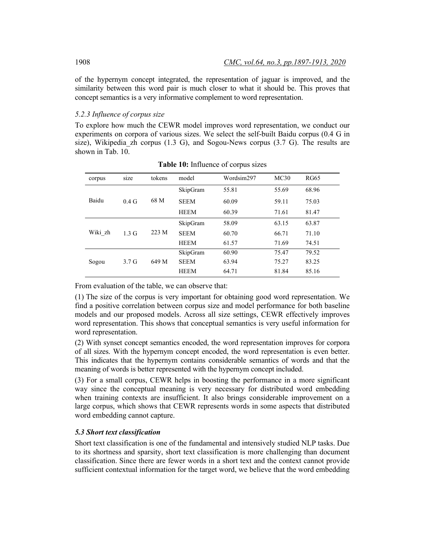of the hypernym concept integrated, the representation of jaguar is improved, and the similarity between this word pair is much closer to what it should be. This proves that concept semantics is a very informative complement to word representation.

## *5.2.3 Influence of corpus size*

To explore how much the CEWR model improves word representation, we conduct our experiments on corpora of various sizes. We select the self-built Baidu corpus (0.4 G in size), Wikipedia zh corpus  $(1.3 \text{ G})$ , and Sogou-News corpus  $(3.7 \text{ G})$ . The results are shown in Tab. 10.

| corpus  | size             | tokens | model       | Wordsim297 | MC30  | <b>RG65</b> |
|---------|------------------|--------|-------------|------------|-------|-------------|
|         |                  |        | SkipGram    | 55.81      | 55.69 | 68.96       |
| Baidu   | $0.4\text{ G}$   | 68 M   | <b>SEEM</b> | 60.09      | 59.11 | 75.03       |
|         |                  |        | <b>HEEM</b> | 60.39      | 71.61 | 81.47       |
|         |                  |        | SkipGram    | 58.09      | 63.15 | 63.87       |
| Wiki zh | 1.3 <sub>G</sub> | 223 M  | <b>SEEM</b> | 60.70      | 66.71 | 71.10       |
|         |                  |        | <b>HEEM</b> | 61.57      | 71.69 | 74.51       |
|         |                  |        | SkipGram    | 60.90      | 75.47 | 79.52       |
| Sogou   | 3.7 <sub>G</sub> | 649 M  | <b>SEEM</b> | 63.94      | 75.27 | 83.25       |
|         |                  |        | <b>HEEM</b> | 64.71      | 81.84 | 85.16       |

**Table 10:** Influence of corpus sizes

From evaluation of the table, we can observe that:

(1) The size of the corpus is very important for obtaining good word representation. We find a positive correlation between corpus size and model performance for both baseline models and our proposed models. Across all size settings, CEWR effectively improves word representation. This shows that conceptual semantics is very useful information for word representation.

(2) With synset concept semantics encoded, the word representation improves for corpora of all sizes. With the hypernym concept encoded, the word representation is even better. This indicates that the hypernym contains considerable semantics of words and that the meaning of words is better represented with the hypernym concept included.

(3) For a small corpus, CEWR helps in boosting the performance in a more significant way since the conceptual meaning is very necessary for distributed word embedding when training contexts are insufficient. It also brings considerable improvement on a large corpus, which shows that CEWR represents words in some aspects that distributed word embedding cannot capture.

## *5.3 Short text classification*

Short text classification is one of the fundamental and intensively studied NLP tasks. Due to its shortness and sparsity, short text classification is more challenging than document classification. Since there are fewer words in a short text and the context cannot provide sufficient contextual information for the target word, we believe that the word embedding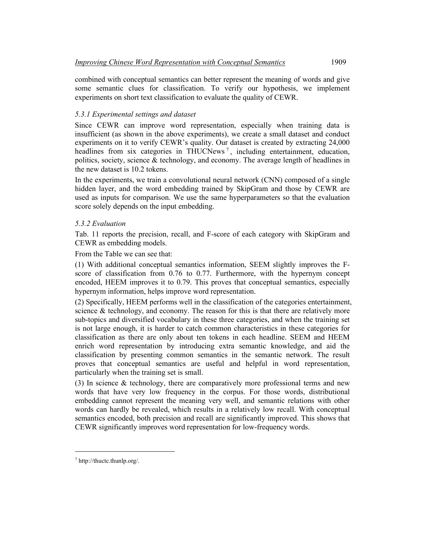combined with conceptual semantics can better represent the meaning of words and give some semantic clues for classification. To verify our hypothesis, we implement experiments on short text classification to evaluate the quality of CEWR.

## *5.3.1 Experimental settings and dataset*

Since CEWR can improve word representation, especially when training data is insufficient (as shown in the above experiments), we create a small dataset and conduct experiments on it to verify CEWR's quality. Our dataset is created by extracting 24,000 headlines from six categories in THUCNews<sup>[7](#page-12-0)</sup>, including entertainment, education, politics, society, science & technology, and economy. The average length of headlines in the new dataset is 10.2 tokens.

In the experiments, we train a convolutional neural network (CNN) composed of a single hidden layer, and the word embedding trained by SkipGram and those by CEWR are used as inputs for comparison. We use the same hyperparameters so that the evaluation score solely depends on the input embedding.

## *5.3.2 Evaluation*

Tab. 11 reports the precision, recall, and F-score of each category with SkipGram and CEWR as embedding models.

From the Table we can see that:

(1) With additional conceptual semantics information, SEEM slightly improves the Fscore of classification from 0.76 to 0.77. Furthermore, with the hypernym concept encoded, HEEM improves it to 0.79. This proves that conceptual semantics, especially hypernym information, helps improve word representation.

(2) Specifically, HEEM performs well in the classification of the categories entertainment, science  $\&$  technology, and economy. The reason for this is that there are relatively more sub-topics and diversified vocabulary in these three categories, and when the training set is not large enough, it is harder to catch common characteristics in these categories for classification as there are only about ten tokens in each headline. SEEM and HEEM enrich word representation by introducing extra semantic knowledge, and aid the classification by presenting common semantics in the semantic network. The result proves that conceptual semantics are useful and helpful in word representation, particularly when the training set is small.

(3) In science & technology, there are comparatively more professional terms and new words that have very low frequency in the corpus. For those words, distributional embedding cannot represent the meaning very well, and semantic relations with other words can hardly be revealed, which results in a relatively low recall. With conceptual semantics encoded, both precision and recall are significantly improved. This shows that CEWR significantly improves word representation for low-frequency words.

<span id="page-12-0"></span><sup>7</sup> http://thuctc.thunlp.org/.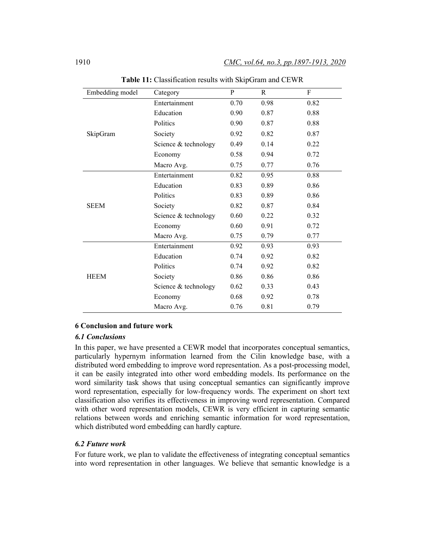| Embedding model | Category             | ${\bf P}$ | R    | ${\bf F}$ |
|-----------------|----------------------|-----------|------|-----------|
| SkipGram        | Entertainment        | 0.70      | 0.98 | 0.82      |
|                 | Education            | 0.90      | 0.87 | 0.88      |
|                 | Politics             | 0.90      | 0.87 | 0.88      |
|                 | Society              | 0.92      | 0.82 | 0.87      |
|                 | Science & technology | 0.49      | 0.14 | 0.22      |
|                 | Economy              | 0.58      | 0.94 | 0.72      |
|                 | Macro Avg.           | 0.75      | 0.77 | 0.76      |
| <b>SEEM</b>     | Entertainment        | 0.82      | 0.95 | 0.88      |
|                 | Education            | 0.83      | 0.89 | 0.86      |
|                 | Politics             | 0.83      | 0.89 | 0.86      |
|                 | Society              | 0.82      | 0.87 | 0.84      |
|                 | Science & technology | 0.60      | 0.22 | 0.32      |
|                 | Economy              | 0.60      | 0.91 | 0.72      |
|                 | Macro Avg.           | 0.75      | 0.79 | 0.77      |
| <b>HEEM</b>     | Entertainment        | 0.92      | 0.93 | 0.93      |
|                 | Education            | 0.74      | 0.92 | 0.82      |
|                 | Politics             | 0.74      | 0.92 | 0.82      |
|                 | Society              | 0.86      | 0.86 | 0.86      |
|                 | Science & technology | 0.62      | 0.33 | 0.43      |
|                 | Economy              | 0.68      | 0.92 | 0.78      |
|                 | Macro Avg.           | 0.76      | 0.81 | 0.79      |

**Table 11:** Classification results with SkipGram and CEWR

## **6 Conclusion and future work**

## *6.1 Conclusions*

In this paper, we have presented a CEWR model that incorporates conceptual semantics, particularly hypernym information learned from the Cilin knowledge base, with a distributed word embedding to improve word representation. As a post-processing model, it can be easily integrated into other word embedding models. Its performance on the word similarity task shows that using conceptual semantics can significantly improve word representation, especially for low-frequency words. The experiment on short text classification also verifies its effectiveness in improving word representation. Compared with other word representation models, CEWR is very efficient in capturing semantic relations between words and enriching semantic information for word representation, which distributed word embedding can hardly capture.

#### *6.2 Future work*

For future work, we plan to validate the effectiveness of integrating conceptual semantics into word representation in other languages. We believe that semantic knowledge is a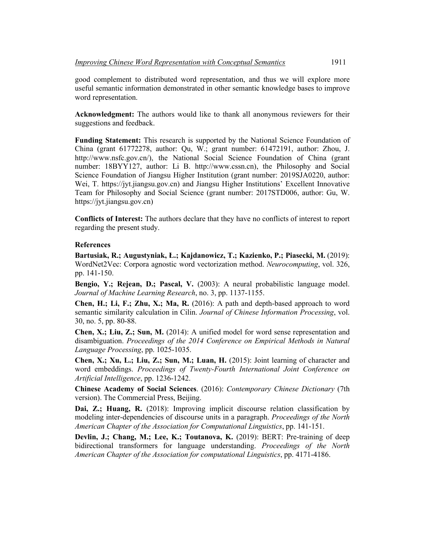good complement to distributed word representation, and thus we will explore more useful semantic information demonstrated in other semantic knowledge bases to improve word representation.

**Acknowledgment:** The authors would like to thank all anonymous reviewers for their suggestions and feedback.

**Funding Statement:** This research is supported by the National Science Foundation of China (grant 61772278, author: Qu, W.; grant number: 61472191, author: Zhou, J. http://www.nsfc.gov.cn/), the National Social Science Foundation of China (grant number: 18BYY127, author: Li B. http://www.cssn.cn), the Philosophy and Social Science Foundation of Jiangsu Higher Institution (grant number: 2019SJA0220, author: Wei, T. https://jyt.jiangsu.gov.cn) and Jiangsu Higher Institutions' Excellent Innovative Team for Philosophy and Social Science (grant number: 2017STD006, author: Gu, W. https://jyt.jiangsu.gov.cn)

**Conflicts of Interest:** The authors declare that they have no conflicts of interest to report regarding the present study.

### **References**

**Bartusiak, R.; Augustyniak, Ł.; Kajdanowicz, T.; Kazienko, P.; Piasecki, M.** (2019): WordNet2Vec: Corpora agnostic word vectorization method. *Neurocomputing*, vol. 326, pp. 141-150.

**Bengio, Y.; Rejean, D.; Pascal, V.** (2003): A neural probabilistic language model. *Journal of Machine Learning Research*, no. 3, pp. 1137-1155.

**Chen, H.; Li, F.; Zhu, X.; Ma, R.** (2016): A path and depth-based approach to word semantic similarity calculation in Cilin. *Journal of Chinese Information Processing*, vol. 30, no. 5, pp. 80-88.

**Chen, X.; Liu, Z.; Sun, M.** (2014): A unified model for word sense representation and disambiguation. *Proceedings of the 2014 Conference on Empirical Methods in Natural Language Processing*, pp. 1025-1035.

**Chen, X.; Xu, L.; Liu, Z.; Sun, M.; Luan, H.** (2015): Joint learning of character and word embeddings. *Proceedings of Twenty-Fourth International Joint Conference on Artificial Intelligence*, pp. 1236-1242.

**Chinese Academy of Social Sciences**. (2016): *Contemporary Chinese Dictionary* (7th version). The Commercial Press, Beijing.

**Dai, Z.; Huang, R.** (2018): Improving implicit discourse relation classification by modeling inter-dependencies of discourse units in a paragraph. *Proceedings of the North American Chapter of the Association for Computational Linguistics*, pp. 141-151.

**Devlin, J.; Chang, M.; Lee, K.; Toutanova, K.** (2019): BERT: Pre-training of deep bidirectional transformers for language understanding. *Proceedings of the North American Chapter of the Association for computational Linguistics*, pp. 4171-4186.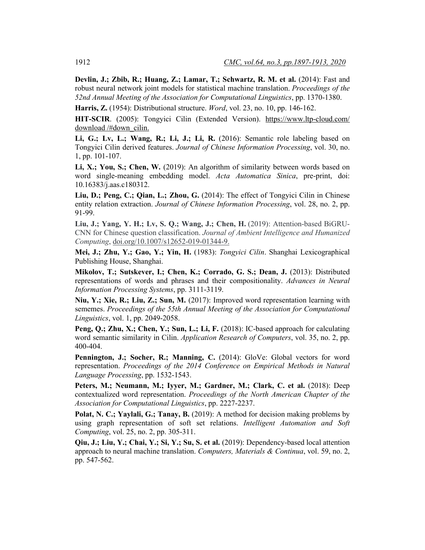**Devlin, J.; Zbib, R.; Huang, Z.; Lamar, T.; Schwartz, R. M. et al.** (2014): Fast and robust neural network joint models for statistical machine translation. *Proceedings of the 52nd Annual Meeting of the Association for Computational Linguistics*, pp. 1370-1380.

**Harris, Z.** (1954): Distributional structure. *Word*, vol. 23, no. 10, pp. 146-162.

**HIT-SCIR**. (2005): Tongyici Cilin (Extended Version). [https://www.ltp-cloud.com/](https://www.ltp-cloud.com/download/#down_cilin,)  [download /#down\\_cilin.](https://www.ltp-cloud.com/download/#down_cilin,)

**Li, G.; Lv, L.; Wang, R.; Li, J.; Li, R.** (2016): Semantic role labeling based on Tongyici Cilin derived features. *Journal of Chinese Information Processing*, vol. 30, no. 1, pp. 101-107.

**Li, X.; You, S.; Chen, W.** (2019): An algorithm of similarity between words based on word single-meaning embedding model. *Acta Automatica Sinica*, pre-print, doi: 10.16383/j.aas.c180312.

**Liu, D.; Peng, C.; Qian, L.; Zhou, G.** (2014): The effect of Tongyici Cilin in Chinese entity relation extraction. *Journal of Chinese Information Processing*, vol. 28, no. 2, pp. 91-99.

**Liu, J.; Yang, Y. H.; Lv, S. Q.; Wang, J.; Chen, H.** (2019): Attention-based BiGRU-CNN for Chinese question classification. *Journal of Ambient Intelligence and Humanized Computing*, doi.org/10.1007/s12652-019-01344-9.

**Mei, J.; Zhu, Y.; Gao, Y.; Yin, H.** (1983): *Tongyici Cilin*. Shanghai Lexicographical Publishing House, Shanghai.

**Mikolov, T.; Sutskever, I.; Chen, K.; Corrado, G. S.; Dean, J.** (2013): Distributed representations of words and phrases and their compositionality. *Advances in Neural Information Processing Systems*, pp. 3111-3119.

**Niu, Y.; Xie, R.; Liu, Z.; Sun, M.** (2017): Improved word representation learning with sememes. *Proceedings of the 55th Annual Meeting of the Association for Computational Linguistics*, vol. 1, pp. 2049-2058.

**Peng, Q.; Zhu, X.; Chen, Y.; Sun, L.; Li, F.** (2018): IC-based approach for calculating word semantic similarity in Cilin. *Application Research of Computers*, vol. 35, no. 2, pp. 400-404.

**Pennington, J.; Socher, R.; Manning, C.** (2014): GloVe: Global vectors for word representation. *Proceedings of the 2014 Conference on Empirical Methods in Natural Language Processing*, pp. 1532-1543.

Peters, M.; Neumann, M.; Iyyer, M.; Gardner, M.; Clark, C. et al. (2018): Deep contextualized word representation. *Proceedings of the North American Chapter of the Association for Computational Linguistics*, pp. 2227-2237.

**Polat, N. C.; Yaylali, G.; Tanay, B.** (2019): A method for decision making problems by using graph representation of soft set relations. *Intelligent Automation and Soft Computing*, vol. 25, no. 2, pp. 305-311.

**Qiu, J.; Liu, Y.; Chai, Y.; Si, Y.; Su, S. et al.** (2019): Dependency-based local attention approach to neural machine translation. *Computers, Materials & Continua*, vol. 59, no. 2, pp. 547-562.